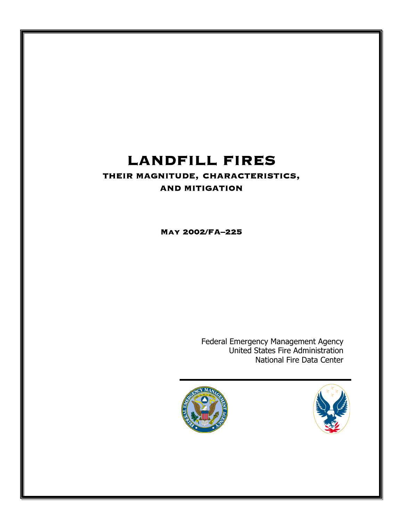# LANDFILL FIRES

# THEIR MAGNITUDE, CHARACTERISTICS, AND MITIGATION

May 2002/FA–225

Federal Emergency Management Agency United States Fire Administration National Fire Data Center



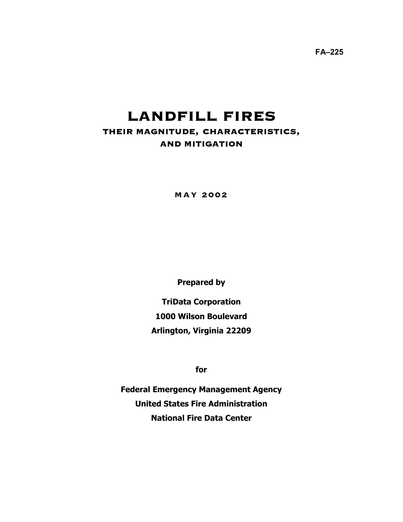**FA–225** 

# LANDFILL FIRES THEIR MAGNITUDE, CHARACTERISTICS, AND MITIGATION

MAY 2002

**Prepared by** 

**TriData Corporation 1000 Wilson Boulevard Arlington, Virginia 22209** 

**for** 

**Federal Emergency Management Agency United States Fire Administration National Fire Data Center**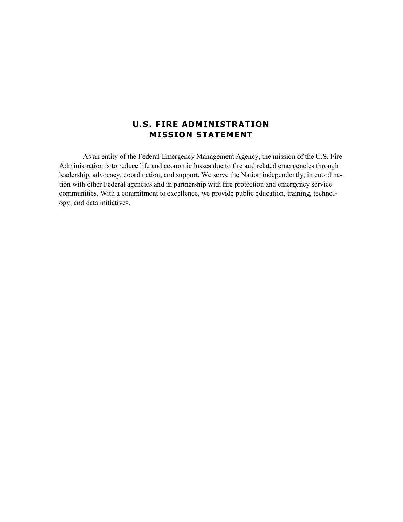# **U.S. FIRE ADMINISTRATION MISSION STATEMENT**

As an entity of the Federal Emergency Management Agency, the mission of the U.S. Fire Administration is to reduce life and economic losses due to fire and related emergencies through leadership, advocacy, coordination, and support. We serve the Nation independently, in coordination with other Federal agencies and in partnership with fire protection and emergency service communities. With a commitment to excellence, we provide public education, training, technology, and data initiatives.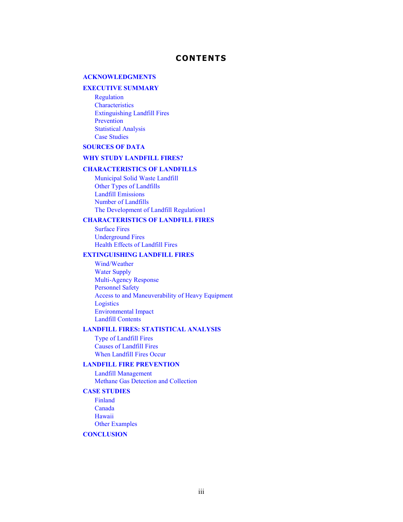## **CONTENTS**

#### **[ACKNOWLEDGMENTS](#page-4-0)**

#### **[EXECUTIVE SUMMARY](#page-5-0)**

[Regulation](#page-5-0) **[Characteristics](#page-5-0)** [Extinguishing Landfill Fires](#page-6-0) [Prevention](#page-6-0) [Statistical Analysis](#page-6-0)  [Case Studies](#page-6-0)

#### **[SOURCES OF DATA](#page-7-0)**

### **[WHY STUDY LANDFILL FIRES?](#page-8-0)**

#### **[CHARACTERISTICS OF LANDFILLS](#page-9-0)**

[Municipal Solid Waste Landfill](#page-9-0)  [Other Types of Landfills](#page-11-0) [Landfill Emissions](#page-12-0)  [Number of Landfills](#page-13-0) [The Development of Landfill Regulation1](#page-13-0)

#### **[CHARACTERISTICS OF LANDFILL FIRES](#page-16-0)**

[Surface Fires](#page-16-0) [Underground Fires](#page-17-0) [Health Effects of Landfill Fires](#page-18-0) 

#### **[EXTINGUISHING LANDFILL FIRES](#page-19-0)**

[Wind/Weather](#page-19-0) Water Supply [Multi-Agency Response](#page-20-0) Personnel Safety [Access to and Maneuverability of Heavy Equipment](#page-20-0)  Logistics Environmental Impact [Landfill Contents](#page-21-0)

#### **[LANDFILL FIRES: STATISTICAL ANALYSIS](#page-21-0)**

[Type of Landfill Fires](#page-22-0) [Causes of Landfill Fires](#page-22-0) [When Landfill Fires Occur](#page-22-0) 

#### **[LANDFILL FIRE PREVENTION](#page-24-0)**

[Landfill Management](#page-24-0) [Methane Gas Detection and Collection](#page-24-0)

#### **[CASE STUDIES](#page-25-0)**

[Finland](#page-26-0) [Canada](#page-26-0) [Hawaii](#page-27-0)  [Other Examples](#page-28-0) 

#### **[CONCLUSION](#page-30-0)**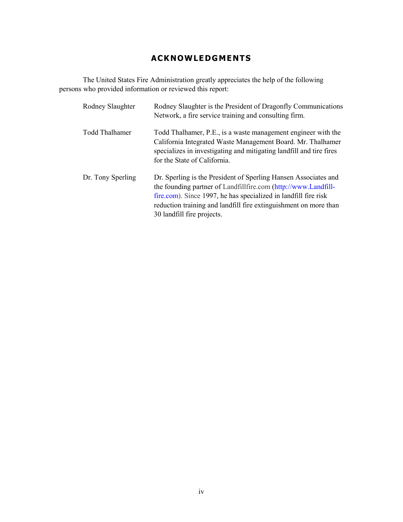# **ACKNOWLEDGMENTS**

<span id="page-4-0"></span>The United States Fire Administration greatly appreciates the help of the following persons who provided information or reviewed this report:

| Rodney Slaughter      | Rodney Slaughter is the President of Dragonfly Communications<br>Network, a fire service training and consulting firm.                                                                                                                                                                                 |
|-----------------------|--------------------------------------------------------------------------------------------------------------------------------------------------------------------------------------------------------------------------------------------------------------------------------------------------------|
| <b>Todd Thalhamer</b> | Todd Thalhamer, P.E., is a waste management engineer with the<br>California Integrated Waste Management Board. Mr. Thalhamer<br>specializes in investigating and mitigating landfill and tire fires<br>for the State of California.                                                                    |
| Dr. Tony Sperling     | Dr. Sperling is the President of Sperling Hansen Associates and<br>the founding partner of Landfillfire.com (http://www.Landfill-<br>fire.com). Since 1997, he has specialized in landfill fire risk<br>reduction training and landfill fire extinguishment on more than<br>30 landfill fire projects. |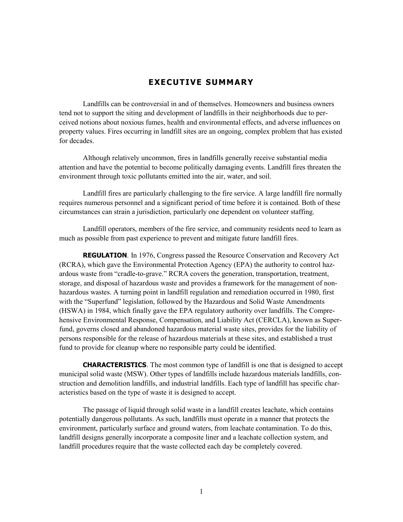## **EXECUTIVE SUMMARY**

<span id="page-5-0"></span>Landfills can be controversial in and of themselves. Homeowners and business owners tend not to support the siting and development of landfills in their neighborhoods due to perceived notions about noxious fumes, health and environmental effects, and adverse influences on property values. Fires occurring in landfill sites are an ongoing, complex problem that has existed for decades.

Although relatively uncommon, fires in landfills generally receive substantial media attention and have the potential to become politically damaging events. Landfill fires threaten the environment through toxic pollutants emitted into the air, water, and soil.

Landfill fires are particularly challenging to the fire service. A large landfill fire normally requires numerous personnel and a significant period of time before it is contained. Both of these circumstances can strain a jurisdiction, particularly one dependent on volunteer staffing.

Landfill operators, members of the fire service, and community residents need to learn as much as possible from past experience to prevent and mitigate future landfill fires.

**REGULATION**. In 1976, Congress passed the Resource Conservation and Recovery Act (RCRA), which gave the Environmental Protection Agency (EPA) the authority to control hazardous waste from "cradle-to-grave." RCRA covers the generation, transportation, treatment, storage, and disposal of hazardous waste and provides a framework for the management of nonhazardous wastes. A turning point in landfill regulation and remediation occurred in 1980, first with the "Superfund" legislation, followed by the Hazardous and Solid Waste Amendments (HSWA) in 1984, which finally gave the EPA regulatory authority over landfills. The Comprehensive Environmental Response, Compensation, and Liability Act (CERCLA), known as Superfund, governs closed and abandoned hazardous material waste sites, provides for the liability of persons responsible for the release of hazardous materials at these sites, and established a trust fund to provide for cleanup where no responsible party could be identified.

**CHARACTERISTICS**. The most common type of landfill is one that is designed to accept municipal solid waste (MSW). Other types of landfills include hazardous materials landfills, construction and demolition landfills, and industrial landfills. Each type of landfill has specific characteristics based on the type of waste it is designed to accept.

The passage of liquid through solid waste in a landfill creates leachate, which contains potentially dangerous pollutants. As such, landfills must operate in a manner that protects the environment, particularly surface and ground waters, from leachate contamination. To do this, landfill designs generally incorporate a composite liner and a leachate collection system, and landfill procedures require that the waste collected each day be completely covered.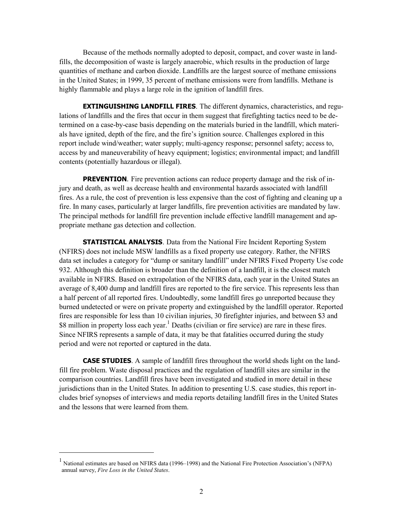<span id="page-6-0"></span>Because of the methods normally adopted to deposit, compact, and cover waste in landfills, the decomposition of waste is largely anaerobic, which results in the production of large quantities of methane and carbon dioxide. Landfills are the largest source of methane emissions in the United States; in 1999, 35 percent of methane emissions were from landfills. Methane is highly flammable and plays a large role in the ignition of landfill fires.

**EXTINGUISHING LANDFILL FIRES**. The different dynamics, characteristics, and regulations of landfills and the fires that occur in them suggest that firefighting tactics need to be determined on a case-by-case basis depending on the materials buried in the landfill, which materials have ignited, depth of the fire, and the fire's ignition source. Challenges explored in this report include wind/weather; water supply; multi-agency response; personnel safety; access to, access by and maneuverability of heavy equipment; logistics; environmental impact; and landfill contents (potentially hazardous or illegal).

**PREVENTION**. Fire prevention actions can reduce property damage and the risk of injury and death, as well as decrease health and environmental hazards associated with landfill fires. As a rule, the cost of prevention is less expensive than the cost of fighting and cleaning up a fire. In many cases, particularly at larger landfills, fire prevention activities are mandated by law. The principal methods for landfill fire prevention include effective landfill management and appropriate methane gas detection and collection.

**STATISTICAL ANALYSIS**. Data from the National Fire Incident Reporting System (NFIRS) does not include MSW landfills as a fixed property use category. Rather, the NFIRS data set includes a category for "dump or sanitary landfill" under NFIRS Fixed Property Use code 932. Although this definition is broader than the definition of a landfill, it is the closest match available in NFIRS. Based on extrapolation of the NFIRS data, each year in the United States an average of 8,400 dump and landfill fires are reported to the fire service. This represents less than a half percent of all reported fires. Undoubtedly, some landfill fires go unreported because they burned undetected or were on private property and extinguished by the landfill operator. Reported fires are responsible for less than 10 civilian injuries, 30 firefighter injuries, and between \$3 and \$8 million in property loss each year.<sup>1</sup> Deaths (civilian or fire service) are rare in these fires. Since NFIRS represents a sample of data, it may be that fatalities occurred during the study period and were not reported or captured in the data.

**CASE STUDIES**. A sample of landfill fires throughout the world sheds light on the landfill fire problem. Waste disposal practices and the regulation of landfill sites are similar in the comparison countries. Landfill fires have been investigated and studied in more detail in these jurisdictions than in the United States. In addition to presenting U.S. case studies, this report includes brief synopses of interviews and media reports detailing landfill fires in the United States and the lessons that were learned from them.

<sup>1</sup> National estimates are based on NFIRS data (1996–1998) and the National Fire Protection Association's (NFPA) annual survey, *Fire Loss in the United States*.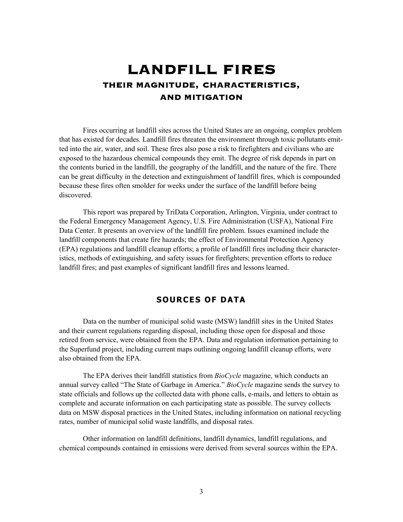# <span id="page-7-0"></span>LANDFILL FIRES THEIR MAGNITUDE, CHARACTERISTICS, AND MITIGATION

Fires occurring at landfill sites across the United States are an ongoing, complex problem that has existed for decades. Landfill fires threaten the environment through toxic pollutants emitted into the air, water, and soil. These fires also pose a risk to firefighters and civilians who are exposed to the hazardous chemical compounds they emit. The degree of risk depends in part on the contents buried in the landfill, the geography of the landfill, and the nature of the fire. There can be great difficulty in the detection and extinguishment of landfill fires, which is compounded because these fires often smolder for weeks under the surface of the landfill before being discovered.

This report was prepared by TriData Corporation, Arlington, Virginia, under contract to the Federal Emergency Management Agency, U.S. Fire Administration (USFA), National Fire Data Center. It presents an overview of the landfill fire problem. Issues examined include the landfill components that create fire hazards; the effect of Environmental Protection Agency (EPA) regulations and landfill cleanup efforts; a profile of landfill fires including their characteristics, methods of extinguishing, and safety issues for firefighters; prevention efforts to reduce landfill fires; and past examples of significant landfill fires and lessons learned.

## **SOURCES OF DATA**

Data on the number of municipal solid waste (MSW) landfill sites in the United States and their current regulations regarding disposal, including those open for disposal and those retired from service, were obtained from the EPA. Data and regulation information pertaining to the Superfund project, including current maps outlining ongoing landfill cleanup efforts, were also obtained from the EPA.

The EPA derives their landfill statistics from *BioCycle* magazine, which conducts an annual survey called "The State of Garbage in America." *BioCycle* magazine sends the survey to state officials and follows up the collected data with phone calls, e-mails, and letters to obtain as complete and accurate information on each participating state as possible. The survey collects data on MSW disposal practices in the United States, including information on national recycling rates, number of municipal solid waste landfills, and disposal rates.

Other information on landfill definitions, landfill dynamics, landfill regulations, and chemical compounds contained in emissions were derived from several sources within the EPA.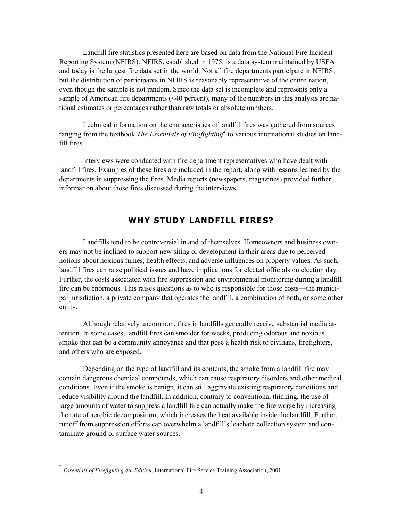<span id="page-8-0"></span>Landfill fire statistics presented here are based on data from the National Fire Incident Reporting System (NFIRS). NFIRS, established in 1975, is a data system maintained by USFA and today is the largest fire data set in the world. Not all fire departments participate in NFIRS, but the distribution of participants in NFIRS is reasonably representative of the entire nation, even though the sample is not random. Since the data set is incomplete and represents only a sample of American fire departments (<40 percent), many of the numbers in this analysis are national estimates or percentages rather than raw totals or absolute numbers.

Technical information on the characteristics of landfill fires was gathered from sources ranging from the textbook *The Essentials of Firefighting*<sup>2</sup> to various international studies on landfill fires.

Interviews were conducted with fire department representatives who have dealt with landfill fires. Examples of these fires are included in the report, along with lessons learned by the departments in suppressing the fires. Media reports (newspapers, magazines) provided further information about those fires discussed during the interviews.

## **WHY STUDY LANDFILL FIRES?**

Landfills tend to be controversial in and of themselves. Homeowners and business owners may not be inclined to support new siting or development in their areas due to perceived notions about noxious fumes, health effects, and adverse influences on property values. As such, landfill fires can raise political issues and have implications for elected officials on election day. Further, the costs associated with fire suppression and environmental monitoring during a landfill fire can be enormous. This raises questions as to who is responsible for those costs—the municipal jurisdiction, a private company that operates the landfill, a combination of both, or some other entity.

Although relatively uncommon, fires in landfills generally receive substantial media attention. In some cases, landfill fires can smolder for weeks, producing odorous and noxious smoke that can be a community annoyance and that pose a health risk to civilians, firefighters, and others who are exposed.

Depending on the type of landfill and its contents, the smoke from a landfill fire may contain dangerous chemical compounds, which can cause respiratory disorders and other medical conditions. Even if the smoke is benign, it can still aggravate existing respiratory conditions and reduce visibility around the landfill. In addition, contrary to conventional thinking, the use of large amounts of water to suppress a landfill fire can actually make the fire worse by increasing the rate of aerobic decomposition, which increases the heat available inside the landfill. Further, runoff from suppression efforts can overwhelm a landfill's leachate collection system and contaminate ground or surface water sources.

<sup>2</sup>*Essentials of Firefighting 4th Edition*, International Fire Service Training Association, 2001.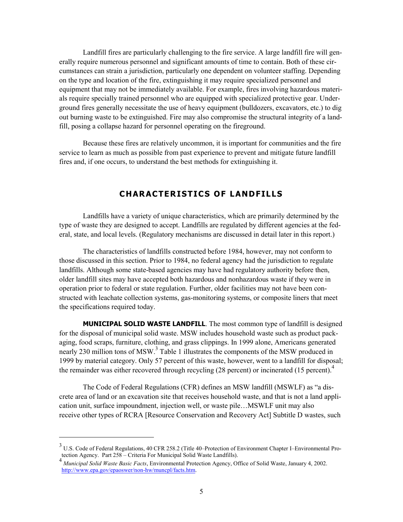<span id="page-9-0"></span>Landfill fires are particularly challenging to the fire service. A large landfill fire will generally require numerous personnel and significant amounts of time to contain. Both of these circumstances can strain a jurisdiction, particularly one dependent on volunteer staffing. Depending on the type and location of the fire, extinguishing it may require specialized personnel and equipment that may not be immediately available. For example, fires involving hazardous materials require specially trained personnel who are equipped with specialized protective gear. Underground fires generally necessitate the use of heavy equipment (bulldozers, excavators, etc.) to dig out burning waste to be extinguished. Fire may also compromise the structural integrity of a landfill, posing a collapse hazard for personnel operating on the fireground.

Because these fires are relatively uncommon, it is important for communities and the fire service to learn as much as possible from past experience to prevent and mitigate future landfill fires and, if one occurs, to understand the best methods for extinguishing it.

## **CHARACTERISTICS OF LANDFILLS**

Landfills have a variety of unique characteristics, which are primarily determined by the type of waste they are designed to accept. Landfills are regulated by different agencies at the federal, state, and local levels. (Regulatory mechanisms are discussed in detail later in this report.)

The characteristics of landfills constructed before 1984, however, may not conform to those discussed in this section. Prior to 1984, no federal agency had the jurisdiction to regulate landfills. Although some state-based agencies may have had regulatory authority before then, older landfill sites may have accepted both hazardous and nonhazardous waste if they were in operation prior to federal or state regulation. Further, older facilities may not have been constructed with leachate collection systems, gas-monitoring systems, or composite liners that meet the specifications required today.

**MUNICIPAL SOLID WASTE LANDFILL**. The most common type of landfill is designed for the disposal of municipal solid waste. MSW includes household waste such as product packaging, food scraps, furniture, clothing, and grass clippings. In 1999 alone, Americans generated nearly 230 million tons of MSW.<sup>3</sup> Table 1 illustrates the components of the MSW produced in 1999 by material category. Only 57 percent of this waste, however, went to a landfill for disposal; the remainder was either recovered through recycling (28 percent) or incinerated (15 percent).<sup>4</sup>

The Code of Federal Regulations (CFR) defines an MSW landfill (MSWLF) as "a discrete area of land or an excavation site that receives household waste, and that is not a land application unit, surface impoundment, injection well, or waste pile…MSWLF unit may also receive other types of RCRA [Resource Conservation and Recovery Act] Subtitle D wastes, such

 $3$  U.S. Code of Federal Regulations, 40 CFR 258.2 (Title 40–Protection of Environment Chapter I–Environmental Pro tection Agency. Part 258 – Criteria For Municipal Solid Waste Landfills).

<sup>4</sup>*Municipal Solid Waste Basic Facts*, Environmental Protection Agency, Office of Solid Waste, January 4, 2002. [http://www.epa.gov/epaoswer/non-hw/muncpl/facts.htm.](http://www.epa.gov/epaoswer/non-hw/muncpl/facts.htm)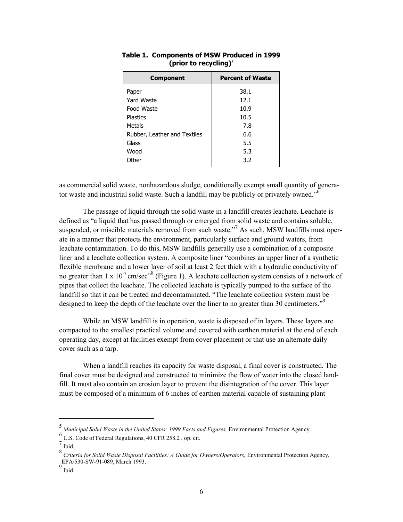| <b>Component</b>             | <b>Percent of Waste</b> |  |  |
|------------------------------|-------------------------|--|--|
| Paper                        | 38.1                    |  |  |
| Yard Waste                   | 12.1                    |  |  |
| Food Waste                   | 10.9                    |  |  |
| <b>Plastics</b>              | 10.5                    |  |  |
| Metals                       | 7.8                     |  |  |
| Rubber, Leather and Textiles | 6.6                     |  |  |
| Glass                        | 5.5                     |  |  |
| Wood                         | 5.3                     |  |  |
| Other                        | 3.2                     |  |  |

**Table 1. Components of MSW Produced in 1999 (prior to recycling)**<sup>5</sup>

as commercial solid waste, nonhazardous sludge, conditionally exempt small quantity of generator waste and industrial solid waste. Such a landfill may be publicly or privately owned."<sup>6</sup>

The passage of liquid through the solid waste in a landfill creates leachate. Leachate is defined as "a liquid that has passed through or emerged from solid waste and contains soluble, suspended, or miscible materials removed from such waste."<sup>7</sup> As such, MSW landfills must oper ate in a manner that protects the environment, particularly surface and ground waters, from leachate contamination. To do this, MSW landfills generally use a combination of a composite liner and a leachate collection system. A composite liner "combines an upper liner of a synthetic flexible membrane and a lower layer of soil at least 2 feet thick with a hydraulic conductivity of no greater than 1 x  $10^{-7}$  cm/sec<sup>-8</sup> (Figure 1). A leachate collection system consists of a network of pipes that collect the leachate. The collected leachate is typically pumped to the surface of the landfill so that it can be treated and decontaminated. "The leachate collection system must be designed to keep the depth of the leachate over the liner to no greater than 30 centimeters."<sup>9</sup>

While an MSW landfill is in operation, waste is disposed of in layers. These layers are compacted to the smallest practical volume and covered with earthen material at the end of each operating day, except at facilities exempt from cover placement or that use an alternate daily cover such as a tarp.

When a landfill reaches its capacity for waste disposal, a final cover is constructed. The final cover must be designed and constructed to minimize the flow of water into the closed landfill. It must also contain an erosion layer to prevent the disintegration of the cover. This layer must be composed of a minimum of 6 inches of earthen material capable of sustaining plant

<sup>5</sup>*Municipal Solid Waste in the United States: 1999 Facts and Figures,* Environmental Protection Agency. 6

 $6$  U.S. Code of Federal Regulations, 40 CFR 258.2, op. cit.

 $7 \overline{\text{Ibid.}}$ 

Ibid. 8 *Criteria for Solid Waste Disposal Facilities: A Guide for Owners/Operators,* Environmental Protection Agency, EPA/530-SW-91-089, March 1993.

 $9$  Ibid.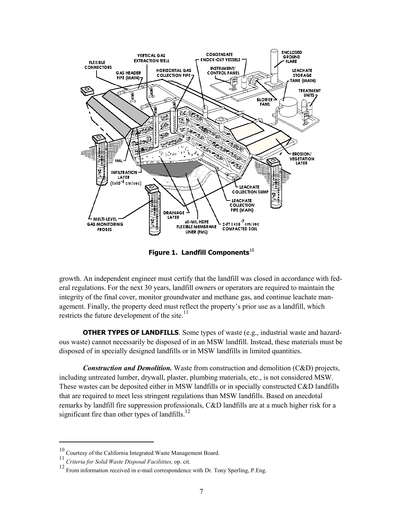<span id="page-11-0"></span>

**Figure 1. Landfill Components**<sup>10</sup>

growth. An independent engineer must certify that the landfill was closed in accordance with federal regulations. For the next 30 years, landfill owners or operators are required to maintain the integrity of the final cover, monitor groundwater and methane gas, and continue leachate management. Finally, the property deed must reflect the property's prior use as a landfill, which restricts the future development of the site. $11$ 

**OTHER TYPES OF LANDFILLS***.* Some types of waste (e.g., industrial waste and hazardous waste) cannot necessarily be disposed of in an MSW landfill. Instead, these materials must be disposed of in specially designed landfills or in MSW landfills in limited quantities.

*Construction and Demolition.* Waste from construction and demolition (C&D) projects, including untreated lumber, drywall, plaster, plumbing materials, etc., is not considered MSW. These wastes can be deposited either in MSW landfills or in specially constructed C&D landfills that are required to meet less stringent regulations than MSW landfills. Based on anecdotal remarks by landfill fire suppression professionals, C&D landfills are at a much higher risk for a significant fire than other types of landfills.<sup>12</sup>

 $^{10}$  Courtesy of the California Integrated Waste Management Board.

<sup>11</sup>*Criteria for Solid Waste Disposal Faciliities,* op. cit.

<sup>12</sup> From information received in e-mail correspondence with Dr. Tony Sperling, P.Eng.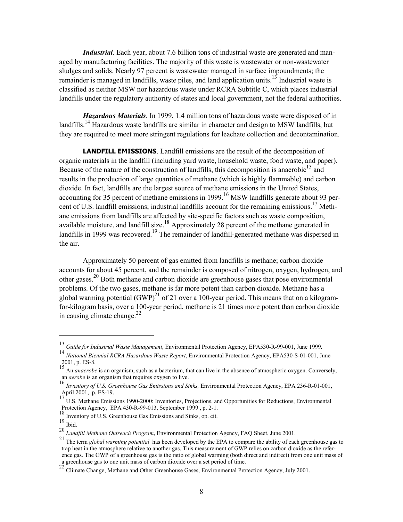<span id="page-12-0"></span>*Industrial.* Each year, about 7.6 billion tons of industrial waste are generated and managed by manufacturing facilities. The majority of this waste is wastewater or non-wastewater sludges and solids. Nearly 97 percent is wastewater managed in surface impoundments; the remainder is managed in landfills, waste piles, and land application units.<sup>13</sup> Industrial waste is classified as neither MSW nor hazardous waste under RCRA Subtitle C, which places industrial landfills under the regulatory authority of states and local government, not the federal authorities.

*Hazardous Materials.* In 1999, 1.4 million tons of hazardous waste were disposed of in landfills.<sup>14</sup> Hazardous waste landfills are similar in character and design to MSW landfills, but they are required to meet more stringent regulations for leachate collection and decontamination.

**LANDFILL EMISSIONS**. Landfill emissions are the result of the decomposition of organic materials in the landfill (including yard waste, household waste, food waste, and paper). Because of the nature of the construction of landfills, this decomposition is anaerobic<sup>15</sup> and results in the production of large quantities of methane (which is highly flammable) and carbon dioxide. In fact, landfills are the largest source of methane emissions in the United States, accounting for 35 percent of methane emissions in 1999.<sup>16</sup> MSW landfills generate about 93 percent of U.S. landfill emissions; industrial landfills account for the remaining emissions.<sup>17</sup> Methane emissions from landfills are affected by site-specific factors such as waste composition, available moisture, and landfill size.<sup>18</sup> Approximately 28 percent of the methane generated in landfills in 1999 was recovered.<sup>19</sup> The remainder of landfill-generated methane was dispersed in the air.

Approximately 50 percent of gas emitted from landfills is methane; carbon dioxide accounts for about 45 percent, and the remainder is composed of nitrogen, oxygen, hydrogen, and other gases.<sup>20</sup> Both methane and carbon dioxide are greenhouse gases that pose environmental problems. Of the two gases, methane is far more potent than carbon dioxide. Methane has a global warming potential  $(GWP)^{21}$  of 21 over a 100-year period. This means that on a kilogramfor-kilogram basis, over a 100-year period, methane is 21 times more potent than carbon dioxide in causing climate change.<sup>22</sup>

<sup>&</sup>lt;sup>13</sup> Guide for Industrial Waste Management, Environmental Protection Agency, EPA530-R-99-001, June 1999.<br><sup>14</sup> *National Biennial RCRA Hazardous Waste Report*, Environmental Protection Agency, EPA530-S-01-001, June

<sup>2001,</sup> p. ES-8.<br><sup>15</sup> An *anaerobe* is an organism, such as a bacterium, that can live in the absence of atmospheric oxygen. Conversely, an *aerobe* is an organism that requires oxygen to live.

an acress of an organism to grand requires organism to live. 16<br>*Inventory of U.S. Greenhouse Gas Emissions and Sinks, Environmental Protection Agency, EPA 236-R-01-001,* April 2001, p. ES-19.

<sup>&</sup>lt;sup>17</sup> U.S. Methane Emissions 1990-2000: Inventories, Projections, and Opportunities for Reductions, Environmental Protection Agency, EPA 430-R-99-013, September 1999 , p. 2-1.

 $^{18}$  Inventory of U.S. Greenhouse Gas Emissions and Sinks, op. cit.  $^{19}$  Ibid

<sup>19</sup> Ibid. 20 *Landfill Methane Outreach Program*, Environmental Protection Agency, FAQ Sheet, June 2001.

<sup>21</sup> The term *global warming potential* has been developed by the EPA to compare the ability of each greenhouse gas to trap heat in the atmosphere relative to another gas. This measurement of GWP relies on carbon dioxide as the reference gas. The GWP of a greenhouse gas is the ratio of global warming (both direct and indirect) from one unit mass of a greenhouse gas to one unit mass of carbon dioxide over a set period of time.<br>
<sup>22</sup> Climate Change, Methane and Other Greenhouse Gases, Environmental Protection Agency, July 2001.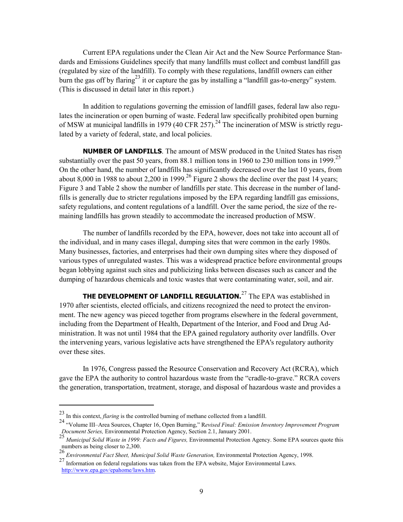<span id="page-13-0"></span>Current EPA regulations under the Clean Air Act and the New Source Performance Standards and Emissions Guidelines specify that many landfills must collect and combust landfill gas (regulated by size of the landfill). To comply with these regulations, landfill owners can either burn the gas off by flaring<sup>23</sup> it or capture the gas by installing a "landfill gas-to-energy" system. (This is discussed in detail later in this report.)

In addition to regulations governing the emission of landfill gases, federal law also regulates the incineration or open burning of waste. Federal law specifically prohibited open burning of MSW at municipal landfills in 1979 (40 CFR 257).<sup>24</sup> The incineration of MSW is strictly regulated by a variety of federal, state, and local policies.

**NUMBER OF LANDFILLS**. The amount of MSW produced in the United States has risen substantially over the past 50 years, from 88.1 million tons in 1960 to 230 million tons in 1999.<sup>25</sup> On the other hand, the number of landfills has significantly decreased over the last 10 years, from about 8,000 in 1988 to about 2,200 in 1999.<sup>26</sup> Figure 2 shows the decline over the past 14 years; Figure 3 and Table 2 show the number of landfills per state. This decrease in the number of landfills is generally due to stricter regulations imposed by the EPA regarding landfill gas emissions, safety regulations, and content regulations of a landfill. Over the same period, the size of the remaining landfills has grown steadily to accommodate the increased production of MSW.

The number of landfills recorded by the EPA, however, does not take into account all of the individual, and in many cases illegal, dumping sites that were common in the early 1980s. Many businesses, factories, and enterprises had their own dumping sites where they disposed of various types of unregulated wastes. This was a widespread practice before environmental groups began lobbying against such sites and publicizing links between diseases such as cancer and the dumping of hazardous chemicals and toxic wastes that were contaminating water, soil, and air.

**THE DEVELOPMENT OF LANDFILL REGULATION.**<sup>27</sup> The EPA was established in 1970 after scientists, elected officials, and citizens recognized the need to protect the environment. The new agency was pieced together from programs elsewhere in the federal government, including from the Department of Health, Department of the Interior, and Food and Drug Administration. It was not until 1984 that the EPA gained regulatory authority over landfills. Over the intervening years, various legislative acts have strengthened the EPA's regulatory authority over these sites.

In 1976, Congress passed the Resource Conservation and Recovery Act (RCRA), which gave the EPA the authority to control hazardous waste from the "cradle-to-grave." RCRA covers the generation, transportation, treatment, storage, and disposal of hazardous waste and provides a

<sup>23</sup> In this context, *flaring* is the controlled burning of methane collected from a landfill.

<sup>24 &</sup>quot;Volume III–Area Sources, Chapter 16, Open Burning," R*evised Final: Emission Inventory Improvement Program Document Series,* Environmental Protection Agency, Section 2.1, January 2001.

<sup>25</sup>*Municipal Solid Waste in 1999: Facts and Figures,* Environmental Protection Agency. Some EPA sources quote this numbers as being closer to 2,300.

<sup>26</sup>*Environmental Fact Sheet, Municipal Solid Waste Generation,* Environmental Protection Agency, 1998. 27 Information on federal regulations was taken from the EPA website, Major Environmental Laws. [http://www.epa.gov/epahome/laws.htm.](http://www.epa.gov/epahome/laws.htm)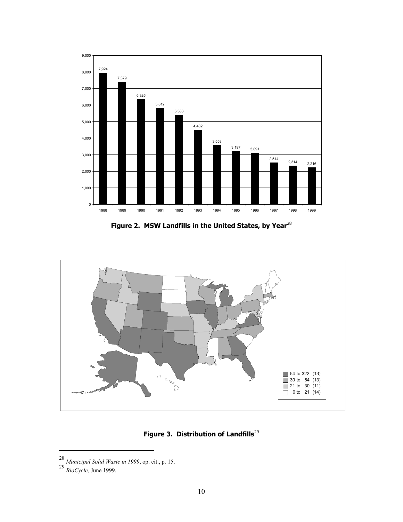

Figure 2. MSW Landfills in the United States, by Year<sup>28</sup>



Figure 3. Distribution of Landfills<sup>29</sup>

 $\overline{a}$ 

<sup>28</sup> *Municipal Solid Waste in <sup>1999</sup>*, op. cit., p. 15. 29 *BioCycle,* June 1999.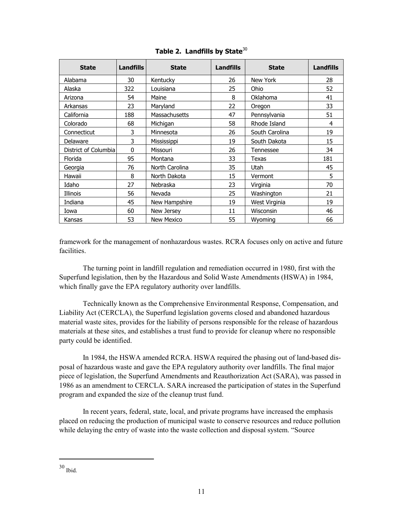| <b>State</b>         | <b>Landfills</b> | <b>State</b>      | Landfills | <b>State</b>   | Landfills |
|----------------------|------------------|-------------------|-----------|----------------|-----------|
| Alabama              | 30               | Kentucky          | 26        | New York       | 28        |
| Alaska               | 322              | Louisiana         | 25        | Ohio           | 52        |
| Arizona              | 54               | Maine             | 8         | Oklahoma       | 41        |
| Arkansas             | 23               | Maryland          | 22        | Oregon         | 33        |
| California           | 188              | Massachusetts     | 47        | Pennsylvania   | 51        |
| Colorado             | 68               | Michigan          | 58        | Rhode Island   | 4         |
| Connecticut          | 3                | Minnesota         | 26        | South Carolina | 19        |
| Delaware             | 3                | Mississippi       | 19        | South Dakota   | 15        |
| District of Columbia | $\mathbf{0}$     | Missouri          | 26        | Tennessee      | 34        |
| Florida              | 95               | Montana           | 33        | Texas          | 181       |
| Georgia              | 76               | North Carolina    | 35        | Utah           | 45        |
| Hawaii               | 8                | North Dakota      | 15        | Vermont        | 5         |
| Idaho                | 27               | Nebraska          | 23        | Virginia       | 70        |
| Illinois             | 56               | Nevada            | 25        | Washington     | 21        |
| Indiana              | 45               | New Hampshire     | 19        | West Virginia  | 19        |
| Iowa                 | 60               | New Jersey        | 11        | Wisconsin      | 46        |
| Kansas               | 53               | <b>New Mexico</b> | 55        | Wyoming        | 66        |

**Table 2. Landfills by State**<sup>30</sup>

framework for the management of nonhazardous wastes. RCRA focuses only on active and future facilities.

The turning point in landfill regulation and remediation occurred in 1980, first with the Superfund legislation, then by the Hazardous and Solid Waste Amendments (HSWA) in 1984, which finally gave the EPA regulatory authority over landfills.

Technically known as the Comprehensive Environmental Response, Compensation, and Liability Act (CERCLA), the Superfund legislation governs closed and abandoned hazardous material waste sites, provides for the liability of persons responsible for the release of hazardous materials at these sites, and establishes a trust fund to provide for cleanup where no responsible party could be identified.

In 1984, the HSWA amended RCRA. HSWA required the phasing out of land-based disposal of hazardous waste and gave the EPA regulatory authority over landfills. The final major piece of legislation, the Superfund Amendments and Reauthorization Act (SARA), was passed in 1986 as an amendment to CERCLA. SARA increased the participation of states in the Superfund program and expanded the size of the cleanup trust fund.

In recent years, federal, state, local, and private programs have increased the emphasis placed on reducing the production of municipal waste to conserve resources and reduce pollution while delaying the entry of waste into the waste collection and disposal system. "Source"

<sup>30</sup> Ibid.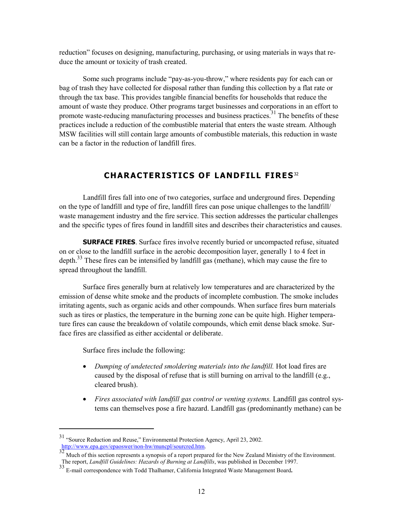<span id="page-16-0"></span>reduction" focuses on designing, manufacturing, purchasing, or using materials in ways that reduce the amount or toxicity of trash created.

Some such programs include "pay-as-you-throw," where residents pay for each can or bag of trash they have collected for disposal rather than funding this collection by a flat rate or through the tax base. This provides tangible financial benefits for households that reduce the amount of waste they produce. Other programs target businesses and corporations in an effort to promote waste-reducing manufacturing processes and business practices.<sup>31</sup> The benefits of these practices include a reduction of the combustible material that enters the waste stream. Although MSW facilities will still contain large amounts of combustible materials, this reduction in waste can be a factor in the reduction of landfill fires.

# **CHARACTERISTICS OF LANDFILL FIRES** <sup>32</sup>

Landfill fires fall into one of two categories, surface and underground fires. Depending on the type of landfill and type of fire, landfill fires can pose unique challenges to the landfill/ waste management industry and the fire service. This section addresses the particular challenges and the specific types of fires found in landfill sites and describes their characteristics and causes.

**SURFACE FIRES**. Surface fires involve recently buried or uncompacted refuse, situated on or close to the landfill surface in the aerobic decomposition layer, generally 1 to 4 feet in depth. $33$  These fires can be intensified by landfill gas (methane), which may cause the fire to spread throughout the landfill.

Surface fires generally burn at relatively low temperatures and are characterized by the emission of dense white smoke and the products of incomplete combustion. The smoke includes irritating agents, such as organic acids and other compounds. When surface fires burn materials such as tires or plastics, the temperature in the burning zone can be quite high. Higher temperature fires can cause the breakdown of volatile compounds, which emit dense black smoke. Surface fires are classified as either accidental or deliberate.

Surface fires include the following:

- �� *Dumping of undetected smoldering materials into the landfill.* Hot load fires are caused by the disposal of refuse that is still burning on arrival to the landfill (e.g., cleared brush).
- �� *Fires associated with landfill gas control or venting systems.* Landfill gas control systems can themselves pose a fire hazard. Landfill gas (predominantly methane) can be

<sup>&</sup>lt;sup>31</sup> "Source Reduction and Reuse," Environmental Protection Agency, April 23, 2002.<br>http://www.epa.gov/epaoswer/non-hw/muncpl/sourcred.htm.

Much of this section represents a synopsis of a report prepared for the New Zealand Ministry of the Environment. The report, *Landfill Guidelines: Hazards of Burning at Landfills*, was published in December 1997.

<sup>&</sup>lt;sup>33</sup> E-mail correspondence with Todd Thalhamer, California Integrated Waste Management Board.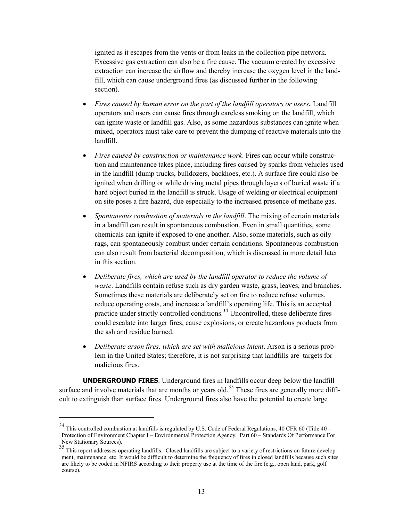<span id="page-17-0"></span>ignited as it escapes from the vents or from leaks in the collection pipe network. Excessive gas extraction can also be a fire cause. The vacuum created by excessive extraction can increase the airflow and thereby increase the oxygen level in the landfill, which can cause underground fires (as discussed further in the following section).

- �� *Fires caused by human error on the part of the landfill operators or users.* Landfill operators and users can cause fires through careless smoking on the landfill, which can ignite waste or landfill gas. Also, as some hazardous substances can ignite when mixed, operators must take care to prevent the dumping of reactive materials into the landfill.
- �� *Fires caused by construction or maintenance work*. Fires can occur while construction and maintenance takes place, including fires caused by sparks from vehicles used in the landfill (dump trucks, bulldozers, backhoes, etc.). A surface fire could also be ignited when drilling or while driving metal pipes through layers of buried waste if a hard object buried in the landfill is struck. Usage of welding or electrical equipment on site poses a fire hazard, due especially to the increased presence of methane gas.
- �� *Spontaneous combustion of materials in the landfill*. The mixing of certain materials in a landfill can result in spontaneous combustion. Even in small quantities, some chemicals can ignite if exposed to one another. Also, some materials, such as oily rags, can spontaneously combust under certain conditions. Spontaneous combustion can also result from bacterial decomposition, which is discussed in more detail later in this section.
- �� *Deliberate fires, which are used by the landfill operator to reduce the volume of waste*. Landfills contain refuse such as dry garden waste, grass, leaves, and branches. Sometimes these materials are deliberately set on fire to reduce refuse volumes, reduce operating costs, and increase a landfill's operating life. This is an accepted practice under strictly controlled conditions. 34 Uncontrolled, these deliberate fires could escalate into larger fires, cause explosions, or create hazardous products from the ash and residue burned.
- �� *Deliberate arson fires, which are set with malicious intent*. Arson is a serious problem in the United States; therefore, it is not surprising that landfills are targets for malicious fires.

**UNDERGROUND FIRES**. Underground fires in landfills occur deep below the landfill surface and involve materials that are months or years old.<sup>35</sup> These fires are generally more difficult to extinguish than surface fires. Underground fires also have the potential to create large

<sup>34</sup> This controlled combustion at landfills is regulated by U.S. Code of Federal Regulations, 40 CFR 60 (Title 40 – Protection of Environment Chapter I – Environmental Protection Agency. Part 60 – Standards Of Performance For New Stationary Sources).

<sup>&</sup>lt;sup>35</sup> This report addresses operating landfills. Closed landfills are subject to a variety of restrictions on future develop ment, maintenance, etc. It would be difficult to determine the frequency of fires in closed landfills because such sites are likely to be coded in NFIRS according to their property use at the time of the fire (e.g., open land, park, golf course).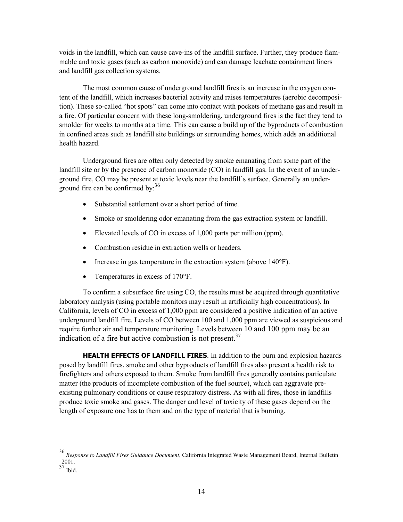<span id="page-18-0"></span>voids in the landfill, which can cause cave-ins of the landfill surface. Further, they produce flammable and toxic gases (such as carbon monoxide) and can damage leachate containment liners and landfill gas collection systems.

The most common cause of underground landfill fires is an increase in the oxygen content of the landfill, which increases bacterial activity and raises temperatures (aerobic decomposition). These so-called "hot spots" can come into contact with pockets of methane gas and result in a fire. Of particular concern with these long-smoldering, underground fires is the fact they tend to smolder for weeks to months at a time. This can cause a build up of the byproducts of combustion in confined areas such as landfill site buildings or surrounding homes, which adds an additional health hazard.

Underground fires are often only detected by smoke emanating from some part of the landfill site or by the presence of carbon monoxide (CO) in landfill gas. In the event of an underground fire, CO may be present at toxic levels near the landfill's surface. Generally an underground fire can be confirmed by:<sup>36</sup>

- Substantial settlement over a short period of time.
- Smoke or smoldering odor emanating from the gas extraction system or landfill.
- Elevated levels of CO in excess of 1,000 parts per million (ppm).
- Combustion residue in extraction wells or headers.
- $\bullet$  Increase in gas temperature in the extraction system (above 140 $\degree$ F).
- $\bullet$  Temperatures in excess of 170°F.

To confirm a subsurface fire using CO, the results must be acquired through quantitative laboratory analysis (using portable monitors may result in artificially high concentrations). In California, levels of CO in excess of 1,000 ppm are considered a positive indication of an active underground landfill fire. Levels of CO between 100 and 1,000 ppm are viewed as suspicious and require further air and temperature monitoring. Levels between 10 and 100 ppm may be an indication of a fire but active combustion is not present. $37$ 

**HEALTH EFFECTS OF LANDFILL FIRES**. In addition to the burn and explosion hazards posed by landfill fires, smoke and other byproducts of landfill fires also present a health risk to firefighters and others exposed to them. Smoke from landfill fires generally contains particulate matter (the products of incomplete combustion of the fuel source), which can aggravate preexisting pulmonary conditions or cause respiratory distress. As with all fires, those in landfills produce toxic smoke and gases. The danger and level of toxicity of these gases depend on the length of exposure one has to them and on the type of material that is burning.

<sup>36</sup>*Response to Landfill Fires Guidance Document*, California Integrated Waste Management Board, Internal Bulletin 2001.

 $37$  Ibid.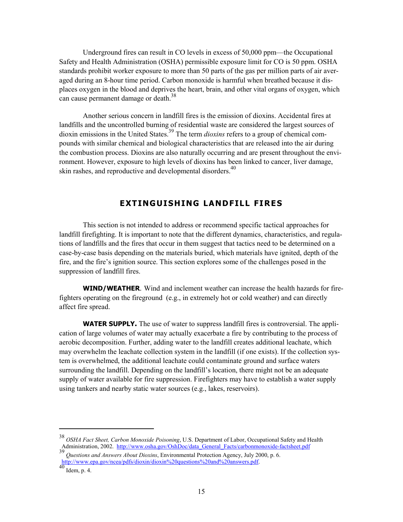<span id="page-19-0"></span>Underground fires can result in CO levels in excess of 50,000 ppm—the Occupational Safety and Health Administration (OSHA) permissible exposure limit for CO is 50 ppm. OSHA standards prohibit worker exposure to more than 50 parts of the gas per million parts of air averaged during an 8-hour time period. Carbon monoxide is harmful when breathed because it displaces oxygen in the blood and deprives the heart, brain, and other vital organs of oxygen, which can cause permanent damage or death.<sup>38</sup>

Another serious concern in landfill fires is the emission of dioxins. Accidental fires at landfills and the uncontrolled burning of residential waste are considered the largest sources of dioxin emissions in the United States. 39 The term *dioxins* refers to a group of chemical compounds with similar chemical and biological characteristics that are released into the air during the combustion process. Dioxins are also naturally occurring and are present throughout the environment. However, exposure to high levels of dioxins has been linked to cancer, liver damage, skin rashes, and reproductive and developmental disorders. 40

# **EXTINGUISHING LANDFILL FIRES**

This section is not intended to address or recommend specific tactical approaches for landfill firefighting. It is important to note that the different dynamics, characteristics, and regulations of landfills and the fires that occur in them suggest that tactics need to be determined on a case-by-case basis depending on the materials buried, which materials have ignited, depth of the fire, and the fire's ignition source. This section explores some of the challenges posed in the suppression of landfill fires.

**WIND/WEATHER***.* Wind and inclement weather can increase the health hazards for firefighters operating on the fireground (e.g., in extremely hot or cold weather) and can directly affect fire spread.

**WATER SUPPLY.** The use of water to suppress landfill fires is controversial. The application of large volumes of water may actually exacerbate a fire by contributing to the process of aerobic decomposition. Further, adding water to the landfill creates additional leachate, which may overwhelm the leachate collection system in the landfill (if one exists). If the collection system is overwhelmed, the additional leachate could contaminate ground and surface waters surrounding the landfill. Depending on the landfill's location, there might not be an adequate supply of water available for fire suppression. Firefighters may have to establish a water supply using tankers and nearby static water sources (e.g., lakes, reservoirs).

<sup>38</sup>*OSHA Fact Sheet, Carbon Monoxide Poisoning*, U.S. Department of Labor, Occupational Safety and Health Administration, 2002. [http://www.osha.gov/OshDoc/data\\_General\\_Facts/carbonmonoxide-factsheet.pdf](http://www.osha.gov/OshDoc/data_General_Facts/carbonmonoxide-factsheet.pdf) 39

<sup>39</sup>*Questions and Answers About Dioxins*, Environmental Protection Agency, July 2000, p. 6. [http://www.epa.gov/ncea/pdfs/dioxin/dioxin%20questions%20and%20answers.pdf.](http://www.epa.gov/ncea/pdfs/dioxin/dioxin%20questions%20and%20answers.pdf)<br>[40](http://www.epa.gov/ncea/pdfs/dioxin/dioxin%20questions%20and%20answers.pdf) Idem, p. 4.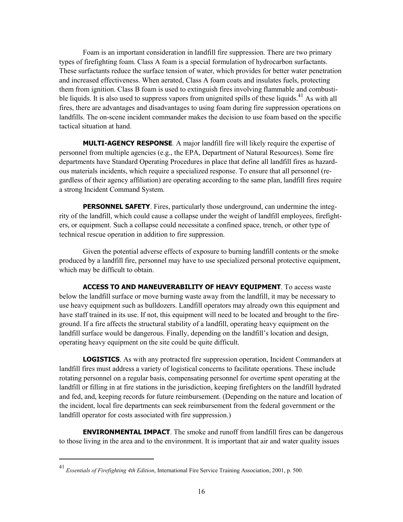<span id="page-20-0"></span>Foam is an important consideration in landfill fire suppression. There are two primary types of firefighting foam. Class A foam is a special formulation of hydrocarbon surfactants. These surfactants reduce the surface tension of water, which provides for better water penetration and increased effectiveness. When aerated, Class A foam coats and insulates fuels, protecting them from ignition. Class B foam is used to extinguish fires involving flammable and combustible liquids. It is also used to suppress vapors from unignited spills of these liquids.<sup>41</sup> As with all fires, there are advantages and disadvantages to using foam during fire suppression operations on landfills. The on-scene incident commander makes the decision to use foam based on the specific tactical situation at hand.

**MULTI-AGENCY RESPONSE***.* A major landfill fire will likely require the expertise of personnel from multiple agencies (e.g., the EPA, Department of Natural Resources). Some fire departments have Standard Operating Procedures in place that define all landfill fires as hazardous materials incidents, which require a specialized response. To ensure that all personnel (regardless of their agency affiliation) are operating according to the same plan, landfill fires require a strong Incident Command System.

**PERSONNEL SAFETY**. Fires, particularly those underground, can undermine the integrity of the landfill, which could cause a collapse under the weight of landfill employees, firefighters, or equipment. Such a collapse could necessitate a confined space, trench, or other type of technical rescue operation in addition to fire suppression.

Given the potential adverse effects of exposure to burning landfill contents or the smoke produced by a landfill fire, personnel may have to use specialized personal protective equipment, which may be difficult to obtain.

**ACCESS TO AND MANEUVERABILITY OF HEAVY EQUIPMENT**. To access waste below the landfill surface or move burning waste away from the landfill, it may be necessary to use heavy equipment such as bulldozers. Landfill operators may already own this equipment and have staff trained in its use. If not, this equipment will need to be located and brought to the fireground. If a fire affects the structural stability of a landfill, operating heavy equipment on the landfill surface would be dangerous. Finally, depending on the landfill's location and design, operating heavy equipment on the site could be quite difficult.

**LOGISTICS**. As with any protracted fire suppression operation, Incident Commanders at landfill fires must address a variety of logistical concerns to facilitate operations. These include rotating personnel on a regular basis, compensating personnel for overtime spent operating at the landfill or filling in at fire stations in the jurisdiction, keeping firefighters on the landfill hydrated and fed, and, keeping records for future reimbursement. (Depending on the nature and location of the incident, local fire departments can seek reimbursement from the federal government or the landfill operator for costs associated with fire suppression.)

**ENVIRONMENTAL IMPACT**. The smoke and runoff from landfill fires can be dangerous to those living in the area and to the environment. It is important that air and water quality issues

<sup>41</sup>*Essentials of Firefighting 4th Edition*, International Fire Service Training Association, 2001, p. 500.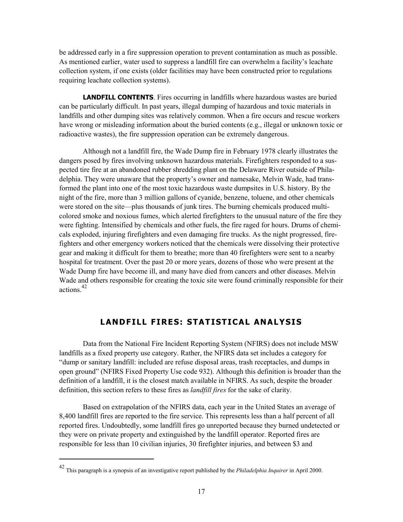<span id="page-21-0"></span>be addressed early in a fire suppression operation to prevent contamination as much as possible. As mentioned earlier, water used to suppress a landfill fire can overwhelm a facility's leachate collection system, if one exists (older facilities may have been constructed prior to regulations requiring leachate collection systems).

**LANDFILL CONTENTS**. Fires occurring in landfills where hazardous wastes are buried can be particularly difficult. In past years, illegal dumping of hazardous and toxic materials in landfills and other dumping sites was relatively common. When a fire occurs and rescue workers have wrong or misleading information about the buried contents (e.g., illegal or unknown toxic or radioactive wastes), the fire suppression operation can be extremely dangerous.

Although not a landfill fire, the Wade Dump fire in February 1978 clearly illustrates the dangers posed by fires involving unknown hazardous materials. Firefighters responded to a suspected tire fire at an abandoned rubber shredding plant on the Delaware River outside of Philadelphia. They were unaware that the property's owner and namesake, Melvin Wade, had transformed the plant into one of the most toxic hazardous waste dumpsites in U.S. history. By the night of the fire, more than 3 million gallons of cyanide, benzene, toluene, and other chemicals were stored on the site—plus thousands of junk tires. The burning chemicals produced multicolored smoke and noxious fumes, which alerted firefighters to the unusual nature of the fire they were fighting. Intensified by chemicals and other fuels, the fire raged for hours. Drums of chemicals exploded, injuring firefighters and even damaging fire trucks. As the night progressed, firefighters and other emergency workers noticed that the chemicals were dissolving their protective gear and making it difficult for them to breathe; more than 40 firefighters were sent to a nearby hospital for treatment. Over the past 20 or more years, dozens of those who were present at the Wade Dump fire have become ill, and many have died from cancers and other diseases. Melvin Wade and others responsible for creating the toxic site were found criminally responsible for their actions  $42$ 

## **LANDFILL FIRES: STATISTICAL ANALYSIS**

Data from the National Fire Incident Reporting System (NFIRS) does not include MSW landfills as a fixed property use category. Rather, the NFIRS data set includes a category for "dump or sanitary landfill: included are refuse disposal areas, trash receptacles, and dumps in open ground" (NFIRS Fixed Property Use code 932). Although this definition is broader than the definition of a landfill, it is the closest match available in NFIRS. As such, despite the broader definition, this section refers to these fires as *landfill fires* for the sake of clarity.

Based on extrapolation of the NFIRS data, each year in the United States an average of 8,400 landfill fires are reported to the fire service. This represents less than a half percent of all reported fires. Undoubtedly, some landfill fires go unreported because they burned undetected or they were on private property and extinguished by the landfill operator. Reported fires are responsible for less than 10 civilian injuries, 30 firefighter injuries, and between \$3 and

<sup>42</sup> This paragraph is a synopsis of an investigative report published by the *Philadelphia Inquirer* in April 2000.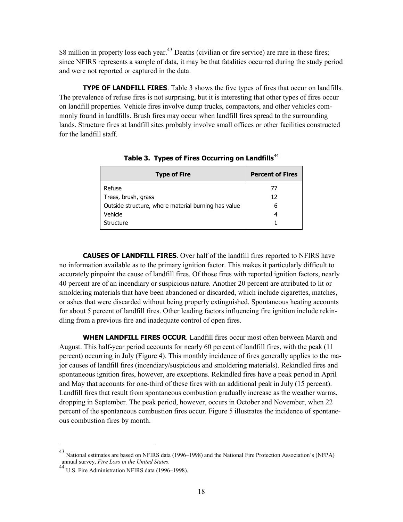<span id="page-22-0"></span>\$8 million in property loss each year.<sup>43</sup> Deaths (civilian or fire service) are rare in these fires; since NFIRS represents a sample of data, it may be that fatalities occurred during the study period and were not reported or captured in the data.

**TYPE OF LANDFILL FIRES**. Table 3 shows the five types of fires that occur on landfills. The prevalence of refuse fires is not surprising, but it is interesting that other types of fires occur on landfill properties. Vehicle fires involve dump trucks, compactors, and other vehicles commonly found in landfills. Brush fires may occur when landfill fires spread to the surrounding lands. Structure fires at landfill sites probably involve small offices or other facilities constructed for the landfill staff.

| <b>Type of Fire</b>                                 | <b>Percent of Fires</b> |  |
|-----------------------------------------------------|-------------------------|--|
| Refuse                                              | 77                      |  |
| Trees, brush, grass                                 | 12                      |  |
| Outside structure, where material burning has value | h                       |  |
| Vehicle                                             |                         |  |
| Structure                                           |                         |  |

Table 3. Types of Fires Occurring on Landfills<sup>44</sup>

**CAUSES OF LANDFILL FIRES**. Over half of the landfill fires reported to NFIRS have no information available as to the primary ignition factor. This makes it particularly difficult to accurately pinpoint the cause of landfill fires. Of those fires with reported ignition factors, nearly 40 percent are of an incendiary or suspicious nature. Another 20 percent are attributed to lit or smoldering materials that have been abandoned or discarded, which include cigarettes, matches, or ashes that were discarded without being properly extinguished. Spontaneous heating accounts for about 5 percent of landfill fires. Other leading factors influencing fire ignition include rekindling from a previous fire and inadequate control of open fires.

**WHEN LANDFILL FIRES OCCUR**. Landfill fires occur most often between March and August. This half-year period accounts for nearly 60 percent of landfill fires, with the peak (11 percent) occurring in July (Figure 4). This monthly incidence of fires generally applies to the major causes of landfill fires (incendiary/suspicious and smoldering materials). Rekindled fires and spontaneous ignition fires, however, are exceptions. Rekindled fires have a peak period in April and May that accounts for one-third of these fires with an additional peak in July (15 percent). Landfill fires that result from spontaneous combustion gradually increase as the weather warms, dropping in September. The peak period, however, occurs in October and November, when 22 percent of the spontaneous combustion fires occur. Figure 5 illustrates the incidence of spontaneous combustion fires by month.

<sup>&</sup>lt;sup>43</sup> National estimates are based on NFIRS data (1996–1998) and the National Fire Protection Association's (NFPA) annual survey, *Fire Loss in the United States*.

annual survey, *Fire Loss in the United States*. 44 U.S. Fire Administration NFIRS data (1996–1998).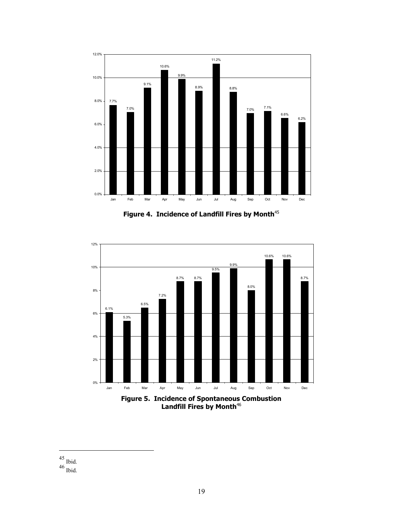

Figure 4. Incidence of Landfill Fires by Month<sup>45</sup>



Landfill Fires by Month<sup>46</sup>

 $\frac{45}{46}$  Ibid.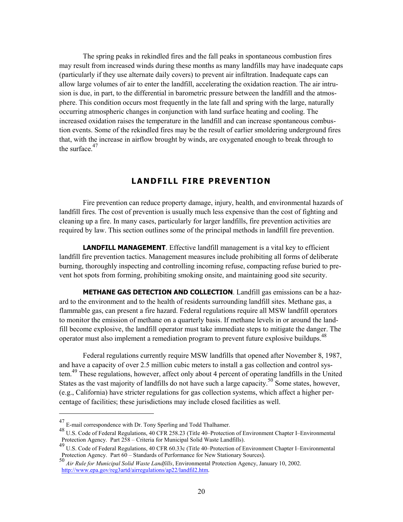<span id="page-24-0"></span>The spring peaks in rekindled fires and the fall peaks in spontaneous combustion fires may result from increased winds during these months as many landfills may have inadequate caps (particularly if they use alternate daily covers) to prevent air infiltration. Inadequate caps can allow large volumes of air to enter the landfill, accelerating the oxidation reaction. The air intrusion is due, in part, to the differential in barometric pressure between the landfill and the atmosphere. This condition occurs most frequently in the late fall and spring with the large, naturally occurring atmospheric changes in conjunction with land surface heating and cooling. The increased oxidation raises the temperature in the landfill and can increase spontaneous combustion events. Some of the rekindled fires may be the result of earlier smoldering underground fires that, with the increase in airflow brought by winds, are oxygenated enough to break through to the surface.<sup>47</sup>

## **LANDFILL FIRE PREVENTION**

Fire prevention can reduce property damage, injury, health, and environmental hazards of landfill fires. The cost of prevention is usually much less expensive than the cost of fighting and cleaning up a fire. In many cases, particularly for larger landfills, fire prevention activities are required by law. This section outlines some of the principal methods in landfill fire prevention.

**LANDFILL MANAGEMENT**. Effective landfill management is a vital key to efficient landfill fire prevention tactics. Management measures include prohibiting all forms of deliberate burning, thoroughly inspecting and controlling incoming refuse, compacting refuse buried to prevent hot spots from forming, prohibiting smoking onsite, and maintaining good site security.

**METHANE GAS DETECTION AND COLLECTION**. Landfill gas emissions can be a hazard to the environment and to the health of residents surrounding landfill sites. Methane gas, a flammable gas, can present a fire hazard. Federal regulations require all MSW landfill operators to monitor the emission of methane on a quarterly basis. If methane levels in or around the landfill become explosive, the landfill operator must take immediate steps to mitigate the danger. The operator must also implement a remediation program to prevent future explosive buildups. 48

Federal regulations currently require MSW landfills that opened after November 8, 1987, and have a capacity of over 2.5 million cubic meters to install a gas collection and control system.<sup>49</sup> These regulations, however, affect only about 4 percent of operating landfills in the United States as the vast majority of landfills do not have such a large capacity.<sup>50</sup> Some states, however, (e.g., California) have stricter regulations for gas collection systems, which affect a higher percentage of facilities; these jurisdictions may include closed facilities as well.

<sup>&</sup>lt;sup>47</sup> E-mail correspondence with Dr. Tony Sperling and Todd Thalhamer.<br><sup>48</sup> U.S. Code of Federal Regulations, 40 CFR 258.23 (Title 40–Protection of Environment Chapter I–Environmental Protection Agency. Part 258 – Criteria for Municipal Solid Waste Landfills).

<sup>49</sup> U.S. Code of Federal Regulations, 40 CFR 60.33c (Title 40–Protection of Environment Chapter I–Environmental Protection Agency. Part  $60 -$  Standards of Performance for New Stationary Sources).

<sup>50</sup>*Air Rule for Municipal Solid Waste Landfills*, Environmental Protection Agency, January 10, 2002. [http://www.epa.gov/reg3artd/airregulations/ap22/landfil2.htm.](http://www.epa.gov/reg3artd/airregulations/ap22/landfil2.htm)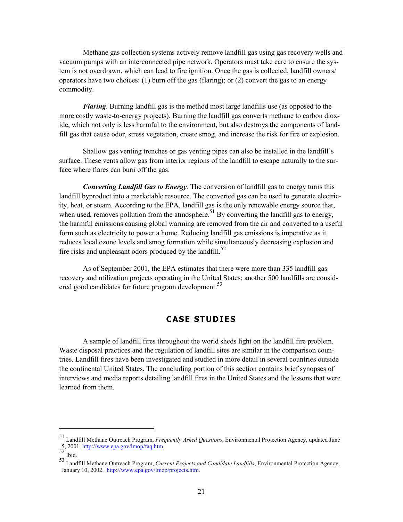<span id="page-25-0"></span>Methane gas collection systems actively remove landfill gas using gas recovery wells and vacuum pumps with an interconnected pipe network. Operators must take care to ensure the system is not overdrawn, which can lead to fire ignition. Once the gas is collected, landfill owners/ operators have two choices: (1) burn off the gas (flaring); or (2) convert the gas to an energy commodity.

*Flaring*. Burning landfill gas is the method most large landfills use (as opposed to the more costly waste-to-energy projects). Burning the landfill gas converts methane to carbon dioxide, which not only is less harmful to the environment, but also destroys the components of landfill gas that cause odor, stress vegetation, create smog, and increase the risk for fire or explosion.

Shallow gas venting trenches or gas venting pipes can also be installed in the landfill's surface. These vents allow gas from interior regions of the landfill to escape naturally to the surface where flares can burn off the gas.

*Converting Landfill Gas to Energy.* The conversion of landfill gas to energy turns this landfill byproduct into a marketable resource. The converted gas can be used to generate electricity, heat, or steam. According to the EPA, landfill gas is the only renewable energy source that, when used, removes pollution from the atmosphere.  $51$  By converting the landfill gas to energy, the harmful emissions causing global warming are removed from the air and converted to a useful form such as electricity to power a home. Reducing landfill gas emissions is imperative as it reduces local ozone levels and smog formation while simultaneously decreasing explosion and fire risks and unpleasant odors produced by the landfill.<sup>52</sup>

As of September 2001, the EPA estimates that there were more than 335 landfill gas recovery and utilization projects operating in the United States; another 500 landfills are considered good candidates for future program development.<sup>53</sup>

## **CASE STUDIES**

A sample of landfill fires throughout the world sheds light on the landfill fire problem. Waste disposal practices and the regulation of landfill sites are similar in the comparison countries. Landfill fires have been investigated and studied in more detail in several countries outside the continental United States. The concluding portion of this section contains brief synopses of interviews and media reports detailing landfill fires in the United States and the lessons that were learned from them.

<sup>&</sup>lt;sup>51</sup> Landfill Methane Outreach Program, *Frequently Asked Questions*, Environmental Protection Agency, updated June 5, 2001. <u>http://www.epa.gov/lmop/faq.htm</u>.

<sup>52</sup> Ibid.<br>53 Landfill Methane Outreach Program, *Current Projects and Candidate Landfills*, Environmental Protection Agency, January 10, 2002. [http://www.epa.gov/lmop/projects.htm.](http://www.epa.gov/lmop/projects.htm)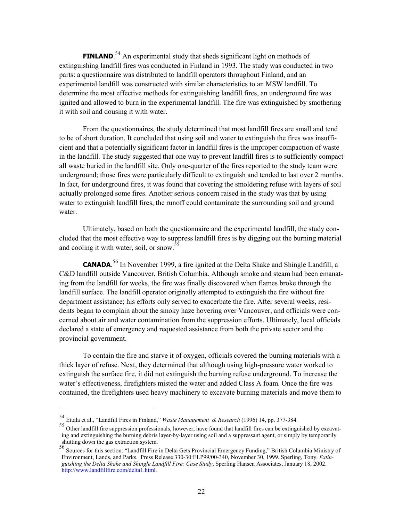<span id="page-26-0"></span>**FINLAND**.<sup>54</sup> An experimental study that sheds significant light on methods of extinguishing landfill fires was conducted in Finland in 1993. The study was conducted in two parts: a questionnaire was distributed to landfill operators throughout Finland, and an experimental landfill was constructed with similar characteristics to an MSW landfill. To determine the most effective methods for extinguishing landfill fires, an underground fire was ignited and allowed to burn in the experimental landfill. The fire was extinguished by smothering it with soil and dousing it with water.

From the questionnaires, the study determined that most landfill fires are small and tend to be of short duration. It concluded that using soil and water to extinguish the fires was insufficient and that a potentially significant factor in landfill fires is the improper compaction of waste in the landfill. The study suggested that one way to prevent landfill fires is to sufficiently compact all waste buried in the landfill site. Only one-quarter of the fires reported to the study team were underground; those fires were particularly difficult to extinguish and tended to last over 2 months. In fact, for underground fires, it was found that covering the smoldering refuse with layers of soil actually prolonged some fires. Another serious concern raised in the study was that by using water to extinguish landfill fires, the runoff could contaminate the surrounding soil and ground water.

Ultimately, based on both the questionnaire and the experimental landfill, the study concluded that the most effective way to suppress landfill fires is by digging out the burning material and cooling it with water, soil, or snow.<sup>55</sup>

**CANADA**. 56 In November 1999, a fire ignited at the Delta Shake and Shingle Landfill, a C&D landfill outside Vancouver, British Columbia. Although smoke and steam had been emanating from the landfill for weeks, the fire was finally discovered when flames broke through the landfill surface. The landfill operator originally attempted to extinguish the fire without fire department assistance; his efforts only served to exacerbate the fire. After several weeks, residents began to complain about the smoky haze hovering over Vancouver, and officials were concerned about air and water contamination from the suppression efforts. Ultimately, local officials declared a state of emergency and requested assistance from both the private sector and the provincial government.

To contain the fire and starve it of oxygen, officials covered the burning materials with a thick layer of refuse. Next, they determined that although using high-pressure water worked to extinguish the surface fire, it did not extinguish the burning refuse underground. To increase the water's effectiveness, firefighters misted the water and added Class A foam. Once the fire was contained, the firefighters used heavy machinery to excavate burning materials and move them to

<sup>&</sup>lt;sup>54</sup> Ettala et al., "Landfill Fires in Finland," Waste Management & Research (1996) 14, pp. 377-384.<br><sup>55</sup> Other landfill fire suppression professionals, however, have found that landfill fires can be extinguished by excav ing and extinguishing the burning debris layer-by-layer using soil and a suppressant agent, or simply by temporarily shutting down the gas extraction system.<br>
<sup>56</sup> Sources for this section: "Landfill Fire in Delta Gets Provincial Emergency Funding," British Columbia Ministry of

Environment, Lands, and Parks. Press Release 330-30:ELP99/00-340, November 30, 1999. Sperling, Tony. *Extinguishing the Delta Shake and Shingle Landfill Fire: Case Study*, Sperling Hansen Associates, January 18, 2002. [http://www.landfillfire.com/delta1.html.](http://www.landfillfire.com/delta1.html)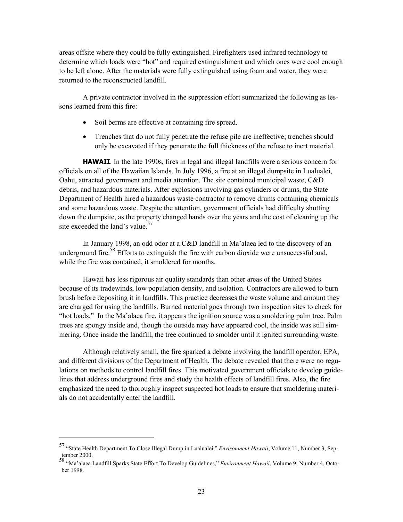<span id="page-27-0"></span>areas offsite where they could be fully extinguished. Firefighters used infrared technology to determine which loads were "hot" and required extinguishment and which ones were cool enough to be left alone. After the materials were fully extinguished using foam and water, they were returned to the reconstructed landfill.

A private contractor involved in the suppression effort summarized the following as lessons learned from this fire:

- Soil berms are effective at containing fire spread.
- Trenches that do not fully penetrate the refuse pile are ineffective; trenches should only be excavated if they penetrate the full thickness of the refuse to inert material.

**HAWAII**. In the late 1990s, fires in legal and illegal landfills were a serious concern for officials on all of the Hawaiian Islands. In July 1996, a fire at an illegal dumpsite in Lualualei, Oahu, attracted government and media attention. The site contained municipal waste, C&D debris, and hazardous materials. After explosions involving gas cylinders or drums, the State Department of Health hired a hazardous waste contractor to remove drums containing chemicals and some hazardous waste. Despite the attention, government officials had difficulty shutting down the dumpsite, as the property changed hands over the years and the cost of cleaning up the site exceeded the land's value.<sup>57</sup>

In January 1998, an odd odor at a C&D landfill in Ma'alaea led to the discovery of an underground fire.<sup>58</sup> Efforts to extinguish the fire with carbon dioxide were unsuccessful and, while the fire was contained, it smoldered for months.

Hawaii has less rigorous air quality standards than other areas of the United States because of its tradewinds, low population density, and isolation. Contractors are allowed to burn brush before depositing it in landfills. This practice decreases the waste volume and amount they are charged for using the landfills. Burned material goes through two inspection sites to check for "hot loads." In the Ma'alaea fire, it appears the ignition source was a smoldering palm tree. Palm trees are spongy inside and, though the outside may have appeared cool, the inside was still simmering. Once inside the landfill, the tree continued to smolder until it ignited surrounding waste.

Although relatively small, the fire sparked a debate involving the landfill operator, EPA, and different divisions of the Department of Health. The debate revealed that there were no regulations on methods to control landfill fires. This motivated government officials to develop guidelines that address underground fires and study the health effects of landfill fires. Also, the fire emphasized the need to thoroughly inspect suspected hot loads to ensure that smoldering materials do not accidentally enter the landfill.

<sup>57 &</sup>quot;State Health Department To Close Illegal Dump in Lualualei," *Environment Hawaii*, Volume 11, Number 3, September 2000.

<sup>58 &</sup>quot;Ma'alaea Landfill Sparks State Effort To Develop Guidelines," *Environment Hawaii*, Volume 9, Number 4, October 1998.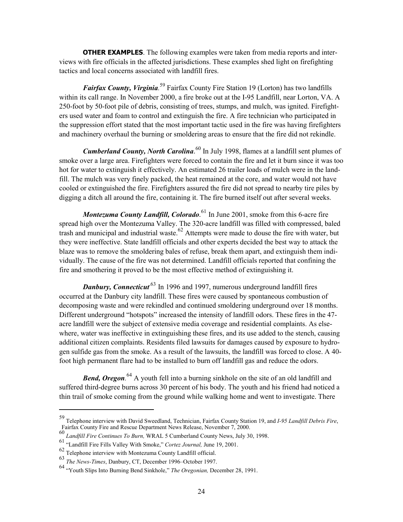<span id="page-28-0"></span>**OTHER EXAMPLES**. The following examples were taken from media reports and interviews with fire officials in the affected jurisdictions. These examples shed light on firefighting tactics and local concerns associated with landfill fires.

*Fairfax County, Virginia.*<sup>59</sup> Fairfax County Fire Station 19 (Lorton) has two landfills within its call range. In November 2000, a fire broke out at the I-95 Landfill, near Lorton, VA. A 250-foot by 50-foot pile of debris, consisting of trees, stumps, and mulch, was ignited. Firefighters used water and foam to control and extinguish the fire. A fire technician who participated in the suppression effort stated that the most important tactic used in the fire was having firefighters and machinery overhaul the burning or smoldering areas to ensure that the fire did not rekindle.

*Cumberland County, North Carolina*.<sup>60</sup> In July 1998, flames at a landfill sent plumes of smoke over a large area. Firefighters were forced to contain the fire and let it burn since it was too hot for water to extinguish it effectively. An estimated 26 trailer loads of mulch were in the landfill. The mulch was very finely packed, the heat remained at the core, and water would not have cooled or extinguished the fire. Firefighters assured the fire did not spread to nearby tire piles by digging a ditch all around the fire, containing it. The fire burned itself out after several weeks.

*Montezuma County Landfill, Colorado*.<sup>61</sup> In June 2001, smoke from this 6-acre fire spread high over the Montezuma Valley. The 320-acre landfill was filled with compressed, baled trash and municipal and industrial waste. 62 Attempts were made to douse the fire with water, but they were ineffective. State landfill officials and other experts decided the best way to attack the blaze was to remove the smoldering bales of refuse, break them apart, and extinguish them individually. The cause of the fire was not determined. Landfill officials reported that confining the fire and smothering it proved to be the most effective method of extinguishing it.

**Danbury, Connecticut**<sup>63</sup> In 1996 and 1997, numerous underground landfill fires occurred at the Danbury city landfill. These fires were caused by spontaneous combustion of decomposing waste and were rekindled and continued smoldering underground over 18 months. Different underground "hotspots" increased the intensity of landfill odors. These fires in the 47 acre landfill were the subject of extensive media coverage and residential complaints. As elsewhere, water was ineffective in extinguishing these fires, and its use added to the stench, causing additional citizen complaints. Residents filed lawsuits for damages caused by exposure to hydrogen sulfide gas from the smoke. As a result of the lawsuits, the landfill was forced to close. A 40 foot high permanent flare had to be installed to burn off landfill gas and reduce the odors.

**Bend, Oregon**.<sup>64</sup> A youth fell into a burning sinkhole on the site of an old landfill and suffered third-degree burns across 30 percent of his body. The youth and his friend had noticed a thin trail of smoke coming from the ground while walking home and went to investigate. There

<sup>59</sup> Telephone interview with David Sweedland, Technician, Fairfax County Station 19, and *I-95 Landfill Debris Fire*, Fairfax County Fire and Rescue Department News Release, November 7, 2000.

<sup>60</sup>*Landfill Fire Continues To Burn,* WRAL 5 Cumberland County News, July 30, 1998. 61 "Landfill Fire Fills Valley With Smoke," *Cortez Journal,* June 19, 2001.

<sup>62</sup> Telephone interview with Montezuma County Landfill official. 63 *The News-Times*, Danbury, CT, December 1996–October 1997.

<sup>64 &</sup>quot;Youth Slips Into Burning Bend Sinkhole," *The Oregonian,* December 28, 1991.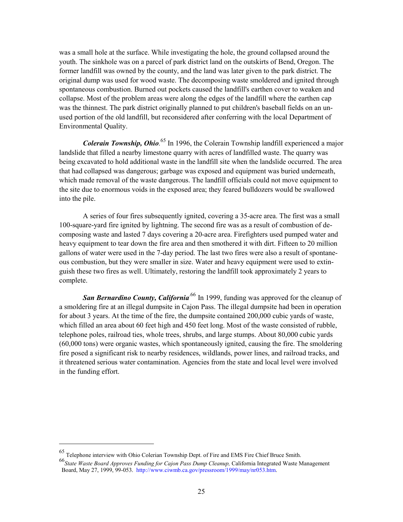was a small hole at the surface. While investigating the hole, the ground collapsed around the youth. The sinkhole was on a parcel of park district land on the outskirts of Bend, Oregon. The former landfill was owned by the county, and the land was later given to the park district. The original dump was used for wood waste. The decomposing waste smoldered and ignited through spontaneous combustion. Burned out pockets caused the landfill's earthen cover to weaken and collapse. Most of the problem areas were along the edges of the landfill where the earthen cap was the thinnest. The park district originally planned to put children's baseball fields on an unused portion of the old landfill, but reconsidered after conferring with the local Department of Environmental Quality.

*Colerain Township, Ohio.*<sup>65</sup> In 1996, the Colerain Township landfill experienced a major landslide that filled a nearby limestone quarry with acres of landfilled waste. The quarry was being excavated to hold additional waste in the landfill site when the landslide occurred. The area that had collapsed was dangerous; garbage was exposed and equipment was buried underneath, which made removal of the waste dangerous. The landfill officials could not move equipment to the site due to enormous voids in the exposed area; they feared bulldozers would be swallowed into the pile.

A series of four fires subsequently ignited, covering a 35-acre area. The first was a small 100-square-yard fire ignited by lightning. The second fire was as a result of combustion of decomposing waste and lasted 7 days covering a 20-acre area. Firefighters used pumped water and heavy equipment to tear down the fire area and then smothered it with dirt. Fifteen to 20 million gallons of water were used in the 7-day period. The last two fires were also a result of spontaneous combustion, but they were smaller in size. Water and heavy equipment were used to extinguish these two fires as well. Ultimately, restoring the landfill took approximately 2 years to complete.

**San Bernardino County, California<sup>66</sup> In 1999**, funding was approved for the cleanup of a smoldering fire at an illegal dumpsite in Cajon Pass. The illegal dumpsite had been in operation for about 3 years. At the time of the fire, the dumpsite contained 200,000 cubic yards of waste, which filled an area about 60 feet high and 450 feet long. Most of the waste consisted of rubble, telephone poles, railroad ties, whole trees, shrubs, and large stumps. About 80,000 cubic yards (60,000 tons) were organic wastes, which spontaneously ignited, causing the fire. The smoldering fire posed a significant risk to nearby residences, wildlands, power lines, and railroad tracks, and it threatened serious water contamination. Agencies from the state and local level were involved in the funding effort.

<sup>65</sup> Telephone interview with Ohio Colerian Township Dept. of Fire and EMS Fire Chief Bruce Smith.

<sup>66</sup>*State Waste Board Approves Funding for Cajon Pass Dump Cleanup,* California Integrated Waste Management Board, May 27, 1999, 99-053. [http://www.ciwmb.ca.gov/pressroom/1999/may/nr053.htm.](http://www.ciwmb.ca.gov/pressroom/1999/may/nr053.htm)